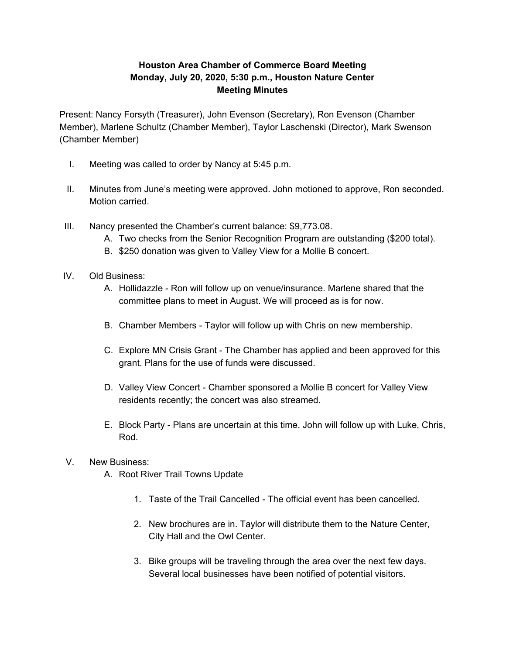## **Houston Area Chamber of Commerce Board Meeting Monday, July 20, 2020, 5:30 p.m., Houston Nature Center Meeting Minutes**

Present: Nancy Forsyth (Treasurer), John Evenson (Secretary), Ron Evenson (Chamber Member), Marlene Schultz (Chamber Member), Taylor Laschenski (Director), Mark Swenson (Chamber Member)

- I. Meeting was called to order by Nancy at 5:45 p.m.
- II. Minutes from June's meeting were approved. John motioned to approve, Ron seconded. Motion carried.
- III. Nancy presented the Chamber's current balance: \$9,773.08.
	- A. Two checks from the Senior Recognition Program are outstanding (\$200 total).
	- B. \$250 donation was given to Valley View for a Mollie B concert.
- IV. Old Business:
	- A. Hollidazzle Ron will follow up on venue/insurance. Marlene shared that the committee plans to meet in August. We will proceed as is for now.
	- B. Chamber Members Taylor will follow up with Chris on new membership.
	- C. Explore MN Crisis Grant The Chamber has applied and been approved for this grant. Plans for the use of funds were discussed.
	- D. Valley View Concert Chamber sponsored a Mollie B concert for Valley View residents recently; the concert was also streamed.
	- E. Block Party Plans are uncertain at this time. John will follow up with Luke, Chris, Rod.
- V. New Business:
	- A. Root River Trail Towns Update
		- 1. Taste of the Trail Cancelled The official event has been cancelled.
		- 2. New brochures are in. Taylor will distribute them to the Nature Center, City Hall and the Owl Center.
		- 3. Bike groups will be traveling through the area over the next few days. Several local businesses have been notified of potential visitors.